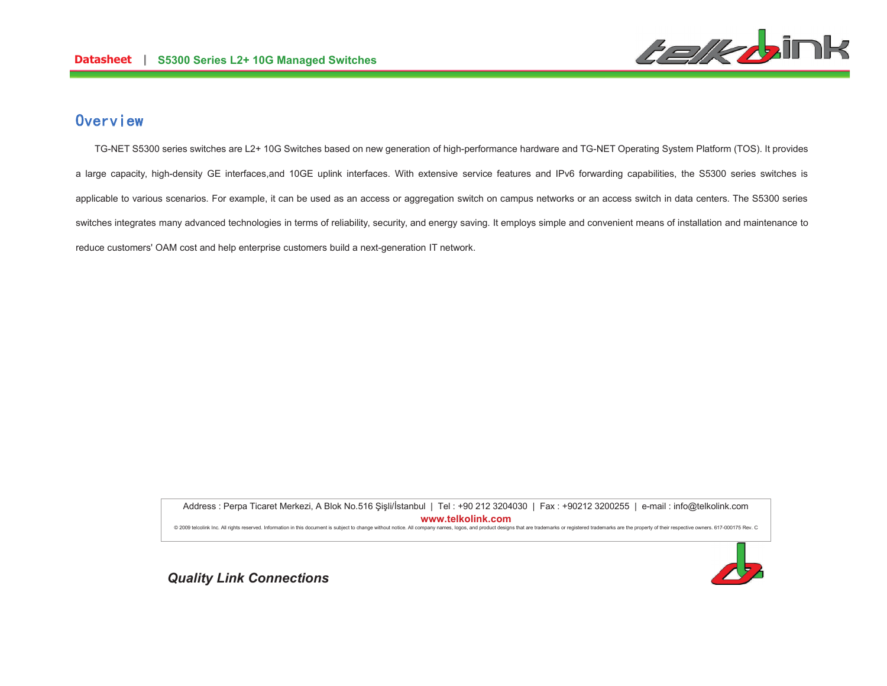

# Overview

TG-NET S5300 series switches are L2+ 10G Switches based on new generation of high-performance hardware and TG-NET Operating System Platform (TOS). It provides a large capacity, high-density GE interfaces, and 10GE uplink interfaces. With extensive service features and IPv6 forwarding capabilities, the S5300 series switches is applicable to various scenarios. For example, it can be used as an access or aggregation switch on campus networks or an access switch in data centers. The S5300 series switches integrates many advanced technologies in terms of reliability, security, and energy saving. It employs simple and convenient means of installation and maintenance to reduce customers' OAM cost and help enterprise customers build a next-generation IT network.

> Address: Perpa Ticaret Merkezi, A Blok No.516 Sisli/İstanbul | Tel: +90 212 3204030 | Fax: +90212 3200255 | e-mail: info@telkolink.com www.telkolink.com @ 2009 telcolink Inc. All rights reserved. Information in this document is subject to change without notice. All company names, logos, and product designs that are trademarks or registered trademarks are the property of th



**Quality Link Connections**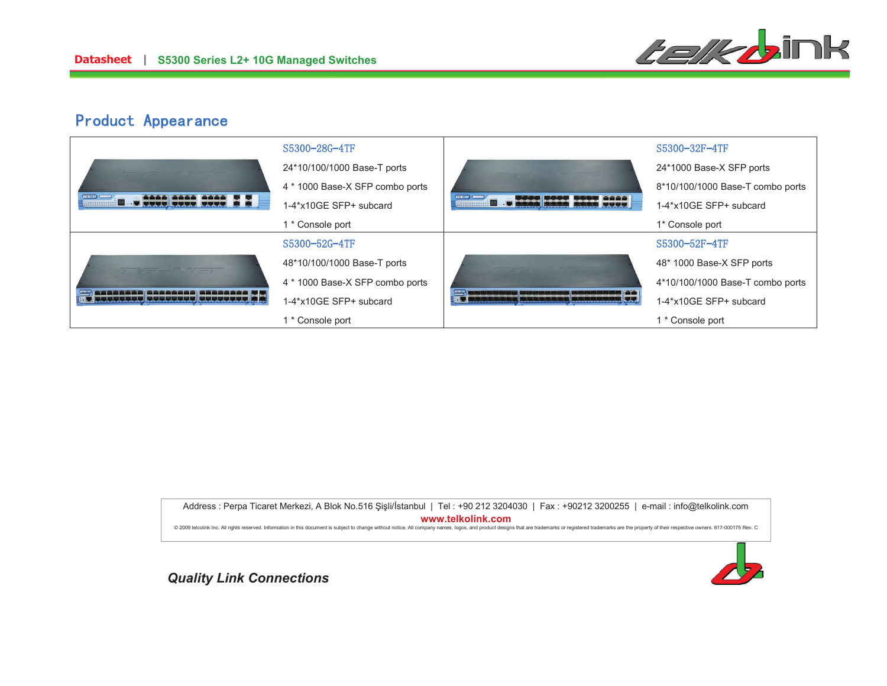

# Product Appearance

|                                                                                                                                                                                                                                                                                                                                                                                                                                                                    | S5300-28G-4TF                   |                                   | S5300-32F-4TF                    |
|--------------------------------------------------------------------------------------------------------------------------------------------------------------------------------------------------------------------------------------------------------------------------------------------------------------------------------------------------------------------------------------------------------------------------------------------------------------------|---------------------------------|-----------------------------------|----------------------------------|
|                                                                                                                                                                                                                                                                                                                                                                                                                                                                    | 24*10/100/1000 Base-T ports     | 100                               | 24*1000 Base-X SFP ports         |
| <b>CONTROL</b>                                                                                                                                                                                                                                                                                                                                                                                                                                                     | 4 * 1000 Base-X SFP combo ports |                                   | 8*10/100/1000 Base-T combo ports |
| <b>BRANCH DESCRIPTION AND BRANCH</b>                                                                                                                                                                                                                                                                                                                                                                                                                               | 1-4*x10GE SFP+ subcard          | <u>and your processes and you</u> | 1-4*x10GE SFP+ subcard           |
|                                                                                                                                                                                                                                                                                                                                                                                                                                                                    | 1 * Console port                |                                   | 1* Console port                  |
|                                                                                                                                                                                                                                                                                                                                                                                                                                                                    | S5300-52G-4TF                   |                                   | S5300-52F-4TF                    |
| $\frac{1}{\sqrt{1-\frac{1}{\sqrt{1-\frac{1}{\sqrt{1-\frac{1}{\sqrt{1-\frac{1}{\sqrt{1-\frac{1}{\sqrt{1-\frac{1}{\sqrt{1-\frac{1}{\sqrt{1-\frac{1}{\sqrt{1-\frac{1}{1-\frac{1}{\sqrt{1-\frac{1}{1-\frac{1}{\sqrt{1-\frac{1}{1-\frac{1}{\sqrt{1-\frac{1}{1-\frac{1}{\sqrt{1-\frac{1}{1-\frac{1}{\sqrt{1-\frac{1}{1-\frac{1}{\sqrt{1-\frac{1}{1-\frac{1}{\sqrt{1-\frac{1}{1-\frac{1}{1-\frac{1}{\sqrt{1-\frac{1}{1-\frac{1}{1-\$<br>/ concesse) concesse (concesse) ; | 48*10/100/1000 Base-T ports     |                                   | 48* 1000 Base-X SFP ports        |
|                                                                                                                                                                                                                                                                                                                                                                                                                                                                    | 4 * 1000 Base-X SFP combo ports |                                   | 4*10/100/1000 Base-T combo ports |
|                                                                                                                                                                                                                                                                                                                                                                                                                                                                    | 1-4*x10GE SFP+ subcard          |                                   | 1-4*x10GE SFP+ subcard           |
|                                                                                                                                                                                                                                                                                                                                                                                                                                                                    | 1 * Console port                |                                   | 1 * Console port                 |

Address : Perpa Ticaret Merkezi, A Blok No.516 Şişli/İstanbul | Tel : +90 212 3204030 | Fax : +90212 3200255 | e-mail : info@telkolink.com  $www.telkolink.com$ @ 2009 telcolink Inc. All rights reserved. Information in this document is subject to change without notice. All company names, logos, and product designs that are trademarks or registered trademarks are the property of th



Quality Link Connections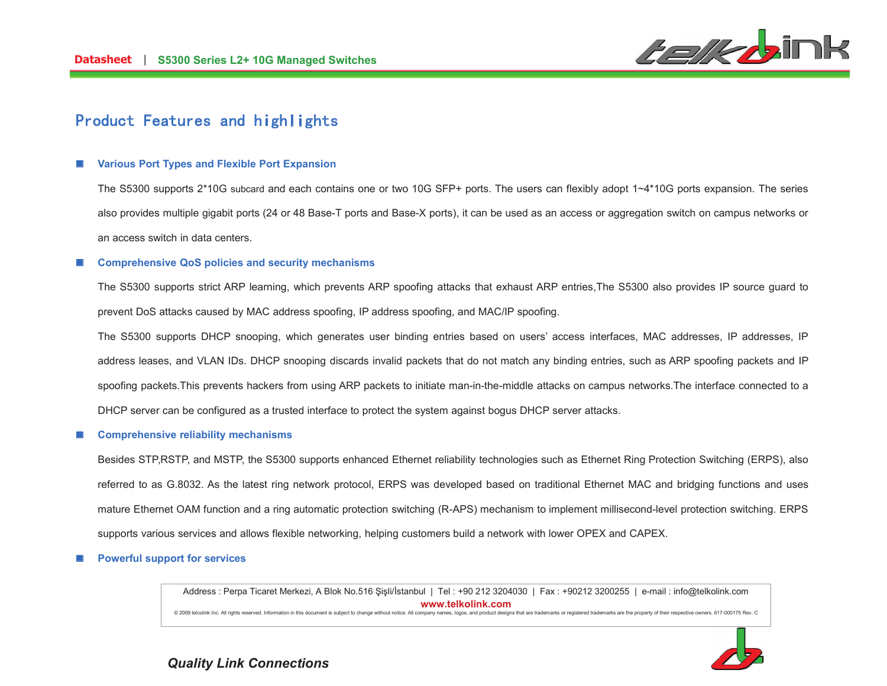

# Product Features and highlights

### **Various Port Types and Flexible Port Expansion**

The S5300 supports 2\*10G subcard and each contains one or two 10G SFP+ ports. The users can flexibly adopt 1~4\*10G ports expansion. The series also provides multiple gigabit ports (24 or 48 Base-T ports and Base-X ports), it can be used as an access or aggregation switch on campus networks or an access switch in data centers.

#### **Comprehensive QoS policies and security mechanisms**

The S5300 supports strict ARP learning, which prevents ARP spoofing attacks that exhaust ARP entries, The S5300 also provides IP source guard to prevent DoS attacks caused by MAC address spoofing, IP address spoofing, and MAC/IP spoofing.

The S5300 supports DHCP snooping, which generates user binding entries based on users' access interfaces, MAC addresses, IP addresses, IP address leases, and VLAN IDs. DHCP snooping discards invalid packets that do not match any binding entries, such as ARP spoofing packets and IP spoofing packets. This prevents hackers from using ARP packets to initiate man-in-the-middle attacks on campus networks. The interface connected to a DHCP server can be configured as a trusted interface to protect the system against bogus DHCP server attacks.

#### **Comprehensive reliability mechanisms**

Besides STP,RSTP, and MSTP, the S5300 supports enhanced Ethernet reliability technologies such as Ethernet Ring Protection Switching (ERPS), also referred to as G.8032. As the latest ring network protocol, ERPS was developed based on traditional Ethernet MAC and bridging functions and uses mature Ethernet OAM function and a ring automatic protection switching (R-APS) mechanism to implement millisecond-level protection switching. ERPS supports various services and allows flexible networking, helping customers build a network with lower OPEX and CAPEX.

#### **Powerful support for services**

Address : Perpa Ticaret Merkezi, A Blok No.516 Şişli/İstanbul | Tel : +90 212 3204030 | Fax : +90212 3200255 | e-mail : info@telkolink.com www.telkolink.com

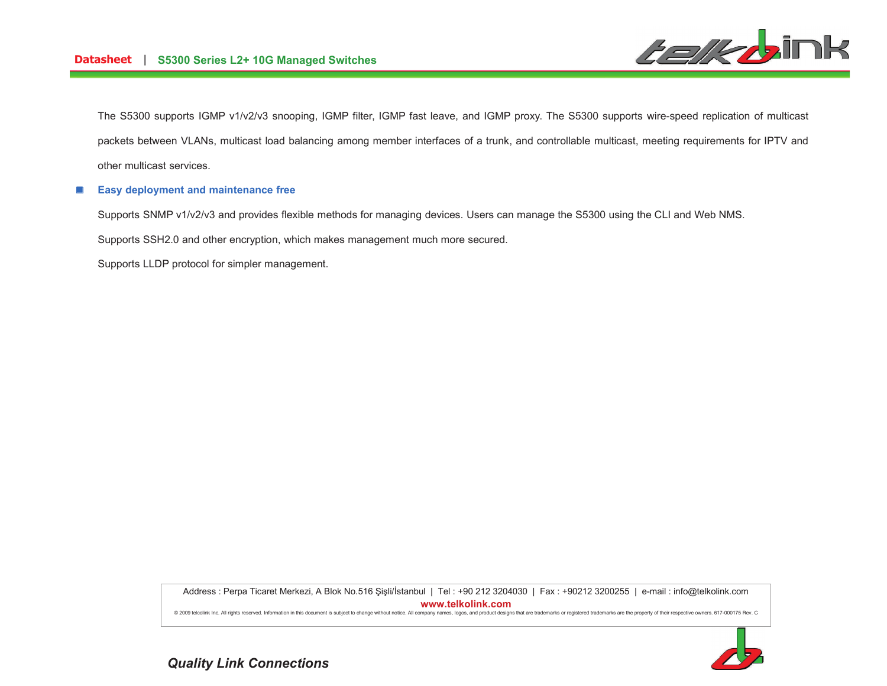

The S5300 supports IGMP v1/v2/v3 snooping, IGMP filter, IGMP fast leave, and IGMP proxy. The S5300 supports wire-speed replication of multicast packets between VLANs, multicast load balancing among member interfaces of a trunk, and controllable multicast, meeting requirements for IPTV and other multicast services.

#### Easy deployment and maintenance free  $\left\vert \cdot\right\vert$

Supports SNMP v1/v2/v3 and provides flexible methods for managing devices. Users can manage the S5300 using the CLI and Web NMS.

Supports SSH2.0 and other encryption, which makes management much more secured.

Supports LLDP protocol for simpler management.

Address : Perpa Ticaret Merkezi, A Blok No.516 Şişli/İstanbul | Tel : +90 212 3204030 | Fax : +90212 3200255 | e-mail : info@telkolink.com www.telkolink.com

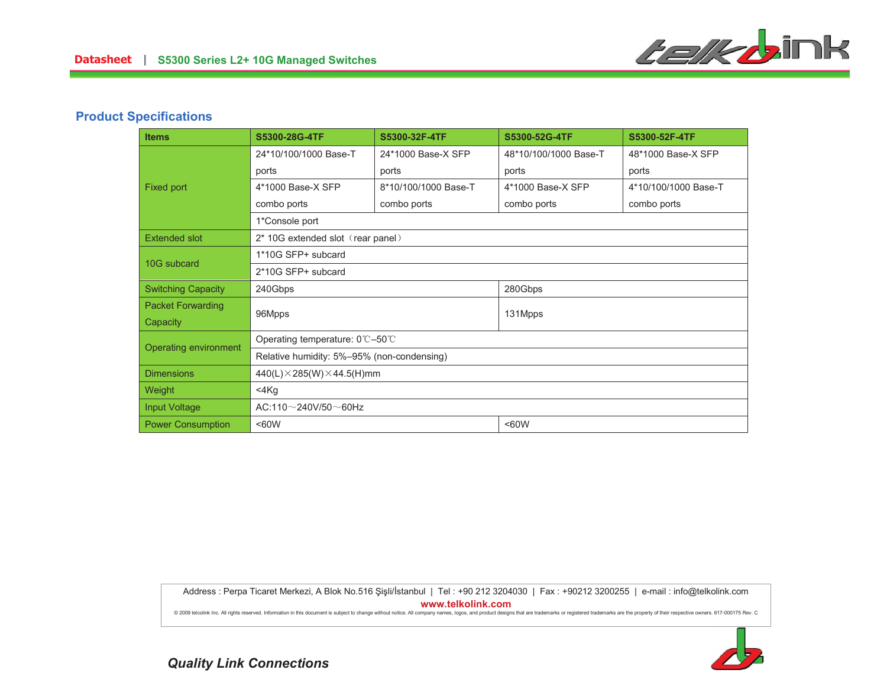

## **Product Specifications**

| <b>Items</b>              | S5300-28G-4TF                              | S5300-32F-4TF        | S5300-52G-4TF         | S5300-52F-4TF        |
|---------------------------|--------------------------------------------|----------------------|-----------------------|----------------------|
| Fixed port                | 24*10/100/1000 Base-T                      | 24*1000 Base-X SFP   | 48*10/100/1000 Base-T | 48*1000 Base-X SFP   |
|                           | ports                                      | ports                | ports                 | ports                |
|                           | 4*1000 Base-X SFP                          | 8*10/100/1000 Base-T | 4*1000 Base-X SFP     | 4*10/100/1000 Base-T |
|                           | combo ports                                | combo ports          | combo ports           | combo ports          |
|                           | 1*Console port                             |                      |                       |                      |
| <b>Extended slot</b>      | 2* 10G extended slot (rear panel)          |                      |                       |                      |
| 10G subcard               | 1*10G SFP+ subcard                         |                      |                       |                      |
|                           | 2*10G SFP+ subcard                         |                      |                       |                      |
| <b>Switching Capacity</b> | 240Gbps                                    |                      | 280Gbps               |                      |
| <b>Packet Forwarding</b>  | 96Mpps                                     |                      | 131Mpps               |                      |
| Capacity                  |                                            |                      |                       |                      |
| Operating environment     | Operating temperature: 0℃–50℃              |                      |                       |                      |
|                           | Relative humidity: 5%-95% (non-condensing) |                      |                       |                      |
| <b>Dimensions</b>         | $440(L)\times 285(W)\times 44.5(H)$ mm     |                      |                       |                      |
| Weight                    | $<$ 4 $K$ g                                |                      |                       |                      |
| <b>Input Voltage</b>      | $AC:110\sim$ 240V/50 $\sim$ 60Hz           |                      |                       |                      |
| <b>Power Consumption</b>  | <60W<br><60W                               |                      |                       |                      |

Address : Perpa Ticaret Merkezi, A Blok No.516 Şişli/İstanbul | Tel : +90 212 3204030 | Fax : +90212 3200255 | e-mail : info@telkolink.com www.telkolink.com

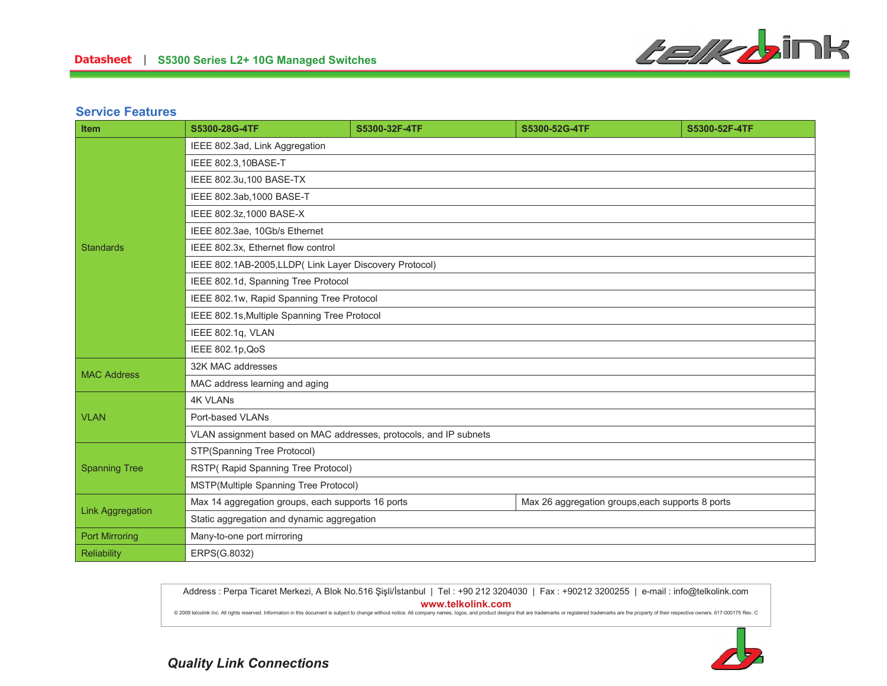

### **Service Features**

| Item                    | S5300-28G-4TF                                                     | S5300-32F-4TF | S5300-52G-4TF                                    | S5300-52F-4TF |
|-------------------------|-------------------------------------------------------------------|---------------|--------------------------------------------------|---------------|
|                         | IEEE 802.3ad, Link Aggregation                                    |               |                                                  |               |
|                         | IEEE 802.3,10BASE-T                                               |               |                                                  |               |
|                         | IEEE 802.3u, 100 BASE-TX                                          |               |                                                  |               |
|                         | IEEE 802.3ab, 1000 BASE-T                                         |               |                                                  |               |
|                         | IEEE 802.3z, 1000 BASE-X                                          |               |                                                  |               |
|                         | IEEE 802.3ae, 10Gb/s Ethernet                                     |               |                                                  |               |
| <b>Standards</b>        | IEEE 802.3x, Ethernet flow control                                |               |                                                  |               |
|                         | IEEE 802.1AB-2005, LLDP (Link Layer Discovery Protocol)           |               |                                                  |               |
|                         | IEEE 802.1d, Spanning Tree Protocol                               |               |                                                  |               |
|                         | IEEE 802.1w, Rapid Spanning Tree Protocol                         |               |                                                  |               |
|                         | IEEE 802.1s, Multiple Spanning Tree Protocol                      |               |                                                  |               |
|                         | IEEE 802.1q, VLAN                                                 |               |                                                  |               |
|                         | IEEE 802.1p, QoS                                                  |               |                                                  |               |
| <b>MAC Address</b>      | 32K MAC addresses                                                 |               |                                                  |               |
|                         | MAC address learning and aging                                    |               |                                                  |               |
|                         | <b>4K VLANs</b>                                                   |               |                                                  |               |
| <b>VLAN</b>             | Port-based VLANs                                                  |               |                                                  |               |
|                         | VLAN assignment based on MAC addresses, protocols, and IP subnets |               |                                                  |               |
|                         | STP(Spanning Tree Protocol)                                       |               |                                                  |               |
| <b>Spanning Tree</b>    | RSTP(Rapid Spanning Tree Protocol)                                |               |                                                  |               |
|                         | MSTP(Multiple Spanning Tree Protocol)                             |               |                                                  |               |
| <b>Link Aggregation</b> | Max 14 aggregation groups, each supports 16 ports                 |               | Max 26 aggregation groups, each supports 8 ports |               |
|                         | Static aggregation and dynamic aggregation                        |               |                                                  |               |
| <b>Port Mirroring</b>   | Many-to-one port mirroring                                        |               |                                                  |               |
| <b>Reliability</b>      | ERPS(G.8032)                                                      |               |                                                  |               |

Address : Perpa Ticaret Merkezi, A Blok No.516 Şişli/İstanbul | Tel : +90 212 3204030 | Fax : +90212 3200255 | e-mail : info@telkolink.com www.telkolink.com

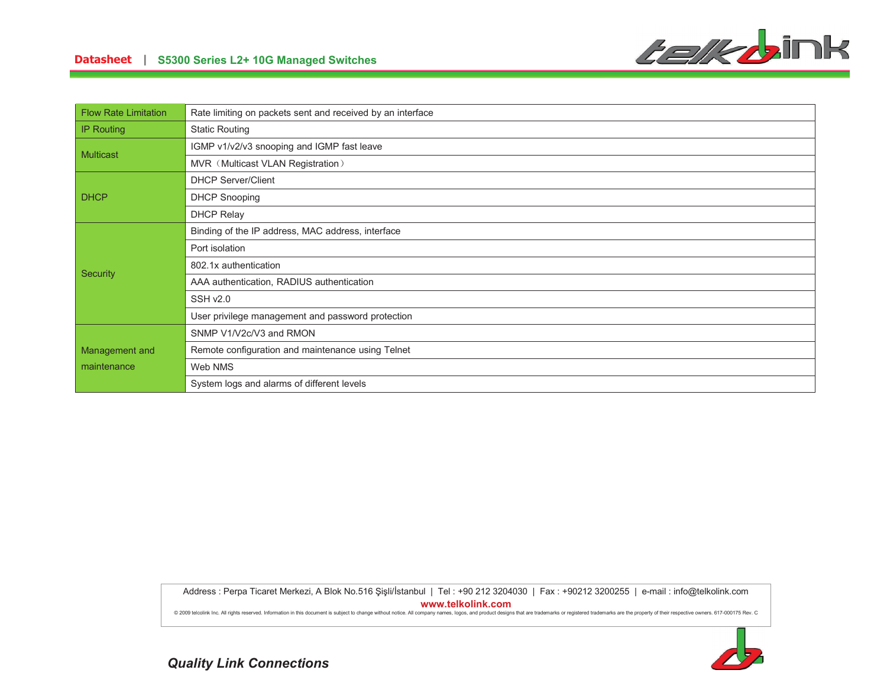

### Datasheet | S5300 Series L2+ 10G Managed Switches

| <b>Flow Rate Limitation</b> | Rate limiting on packets sent and received by an interface |
|-----------------------------|------------------------------------------------------------|
| <b>IP Routing</b>           | <b>Static Routing</b>                                      |
| <b>Multicast</b>            | IGMP v1/v2/v3 snooping and IGMP fast leave                 |
|                             | MVR (Multicast VLAN Registration)                          |
|                             | <b>DHCP Server/Client</b>                                  |
| <b>DHCP</b>                 | <b>DHCP Snooping</b>                                       |
|                             | <b>DHCP Relay</b>                                          |
|                             | Binding of the IP address, MAC address, interface          |
|                             | Port isolation                                             |
|                             | 802.1x authentication                                      |
| <b>Security</b>             | AAA authentication, RADIUS authentication                  |
|                             | <b>SSH v2.0</b>                                            |
|                             | User privilege management and password protection          |
|                             | SNMP V1/V2c/V3 and RMON                                    |
| Management and              | Remote configuration and maintenance using Telnet          |
| maintenance                 | Web NMS                                                    |
|                             | System logs and alarms of different levels                 |

Address : Perpa Ticaret Merkezi, A Blok No.516 Şişli/İstanbul | Tel : +90 212 3204030 | Fax : +90212 3200255 | e-mail : info@telkolink.com www.telkolink.com

@ 2009 telcolink Inc. All rights reserved. Information in this document is subject to change without notice. All company names, logos, and product designs that are trademarks or registered trademarks are the property of th



**Quality Link Connections**